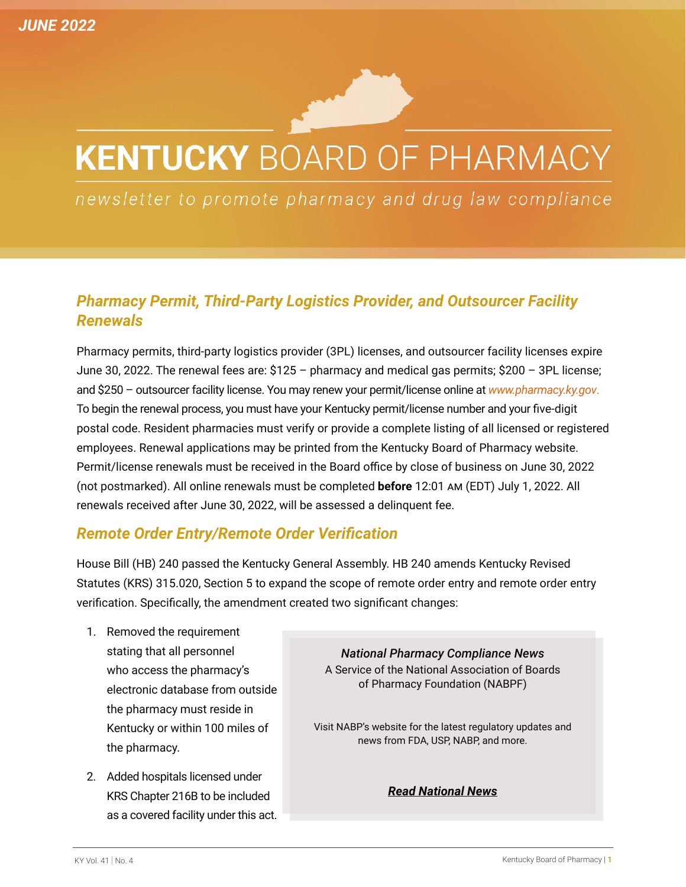# **KENTUCKY BOARD OF PHARMACY**

newsletter to promote pharmacy and drug law compliance

## *Pharmacy Permit, Third-Party Logistics Provider, and Outsourcer Facility Renewals*

Pharmacy permits, third-party logistics provider (3PL) licenses, and outsourcer facility licenses expire June 30, 2022. The renewal fees are: \$125 – pharmacy and medical gas permits; \$200 – 3PL license; and \$250 – outsourcer facility license. You may renew your permit/license online at *[www.pharmacy.ky.gov](http://www.pharmacy.ky.gov)*. To begin the renewal process, you must have your Kentucky permit/license number and your five-digit postal code. Resident pharmacies must verify or provide a complete listing of all licensed or registered employees. Renewal applications may be printed from the Kentucky Board of Pharmacy website. Permit/license renewals must be received in the Board office by close of business on June 30, 2022 (not postmarked). All online renewals must be completed **before** 12:01 am (EDT) July 1, 2022. All renewals received after June 30, 2022, will be assessed a delinquent fee.

#### *Remote Order Entry/Remote Order Verification*

House Bill (HB) 240 passed the Kentucky General Assembly. HB 240 amends Kentucky Revised Statutes (KRS) 315.020, Section 5 to expand the scope of remote order entry and remote order entry verification. Specifically, the amendment created two significant changes:

- 1. Removed the requirement stating that all personnel who access the pharmacy's electronic database from outside the pharmacy must reside in Kentucky or within 100 miles of the pharmacy.
- 2. Added hospitals licensed under KRS Chapter 216B to be included as a covered facility under this act.

*National Pharmacy Compliance News*  A Service of the National Association of Boards of Pharmacy Foundation (NABPF)

Visit NABP's website for the latest regulatory updates and news from FDA, USP, NABP, and more.

*Read National News*